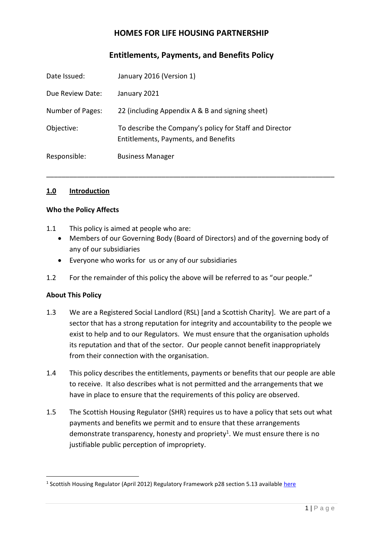# **HOMES FOR LIFE HOUSING PARTNERSHIP**

# **Entitlements, Payments, and Benefits Policy**

| Date Issued:     | January 2016 (Version 1)                                                                        |
|------------------|-------------------------------------------------------------------------------------------------|
| Due Review Date: | January 2021                                                                                    |
| Number of Pages: | 22 (including Appendix A & B and signing sheet)                                                 |
| Objective:       | To describe the Company's policy for Staff and Director<br>Entitlements, Payments, and Benefits |
| Responsible:     | <b>Business Manager</b>                                                                         |

#### **1.0 Introduction**

#### **Who the Policy Affects**

- 1.1 This policy is aimed at people who are:
	- Members of our Governing Body (Board of Directors) and of the governing body of any of our subsidiaries

\_\_\_\_\_\_\_\_\_\_\_\_\_\_\_\_\_\_\_\_\_\_\_\_\_\_\_\_\_\_\_\_\_\_\_\_\_\_\_\_\_\_\_\_\_\_\_\_\_\_\_\_\_\_\_\_\_\_\_\_\_\_\_\_\_\_\_\_\_\_\_\_\_\_\_

- Everyone who works for us or any of our subsidiaries
- 1.2 For the remainder of this policy the above will be referred to as "our people."

#### **About This Policy**

- 1.3 We are a Registered Social Landlord (RSL) [and a Scottish Charity]. We are part of a sector that has a strong reputation for integrity and accountability to the people we exist to help and to our Regulators. We must ensure that the organisation upholds its reputation and that of the sector. Our people cannot benefit inappropriately from their connection with the organisation.
- 1.4 This policy describes the entitlements, payments or benefits that our people are able to receive. It also describes what is not permitted and the arrangements that we have in place to ensure that the requirements of this policy are observed.
- 1.5 The Scottish Housing Regulator (SHR) requires us to have a policy that sets out what payments and benefits we permit and to ensure that these arrangements demonstrate transparency, honesty and propriety<sup>1</sup>. We must ensure there is no justifiable public perception of impropriety.

<sup>&</sup>lt;sup>1</sup> Scottish Housing Regulator (April 2012) Regulatory Framework p28 section 5.13 available *here*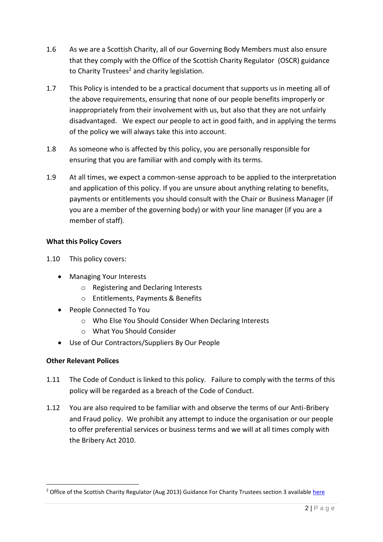- 1.6 As we are a Scottish Charity, all of our Governing Body Members must also ensure that they comply with the Office of the Scottish Charity Regulator (OSCR) guidance to Charity Trustees<sup>2</sup> and charity legislation.
- 1.7 This Policy is intended to be a practical document that supports us in meeting all of the above requirements, ensuring that none of our people benefits improperly or inappropriately from their involvement with us, but also that they are not unfairly disadvantaged. We expect our people to act in good faith, and in applying the terms of the policy we will always take this into account.
- 1.8 As someone who is affected by this policy, you are personally responsible for ensuring that you are familiar with and comply with its terms.
- 1.9 At all times, we expect a common-sense approach to be applied to the interpretation and application of this policy. If you are unsure about anything relating to benefits, payments or entitlements you should consult with the Chair or Business Manager (if you are a member of the governing body) or with your line manager (if you are a member of staff).

# **What this Policy Covers**

- 1.10 This policy covers:
	- Managing Your Interests
		- o Registering and Declaring Interests
		- o Entitlements, Payments & Benefits
	- People Connected To You
		- o Who Else You Should Consider When Declaring Interests
		- o What You Should Consider
	- Use of Our Contractors/Suppliers By Our People

## **Other Relevant Polices**

- 1.11 The Code of Conduct is linked to this policy. Failure to comply with the terms of this policy will be regarded as a breach of the Code of Conduct.
- 1.12 You are also required to be familiar with and observe the terms of our Anti-Bribery and Fraud policy. We prohibit any attempt to induce the organisation or our people to offer preferential services or business terms and we will at all times comply with the Bribery Act 2010.

<sup>&</sup>lt;sup>2</sup> Office of the Scottish Charity Regulator (Aug 2013) Guidance For Charity Trustees section 3 available [here](http://www.oscr.org.uk/media/1571/Guidance%20for%20Charity%20Trustees%20updated%20Sept%202010.pdf)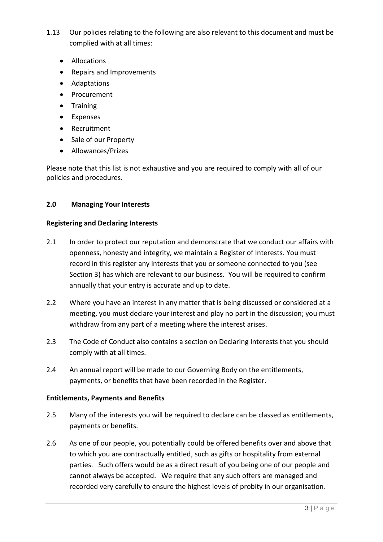- 1.13 Our policies relating to the following are also relevant to this document and must be complied with at all times:
	- Allocations
	- Repairs and Improvements
	- Adaptations
	- Procurement
	- Training
	- Expenses
	- Recruitment
	- Sale of our Property
	- Allowances/Prizes

Please note that this list is not exhaustive and you are required to comply with all of our policies and procedures.

#### **2.0 Managing Your Interests**

#### **Registering and Declaring Interests**

- 2.1 In order to protect our reputation and demonstrate that we conduct our affairs with openness, honesty and integrity, we maintain a Register of Interests. You must record in this register any interests that you or someone connected to you (see Section 3) has which are relevant to our business. You will be required to confirm annually that your entry is accurate and up to date.
- 2.2 Where you have an interest in any matter that is being discussed or considered at a meeting, you must declare your interest and play no part in the discussion; you must withdraw from any part of a meeting where the interest arises.
- 2.3 The Code of Conduct also contains a section on Declaring Interests that you should comply with at all times.
- 2.4 An annual report will be made to our Governing Body on the entitlements, payments, or benefits that have been recorded in the Register.

## **Entitlements, Payments and Benefits**

- 2.5 Many of the interests you will be required to declare can be classed as entitlements, payments or benefits.
- 2.6 As one of our people, you potentially could be offered benefits over and above that to which you are contractually entitled, such as gifts or hospitality from external parties. Such offers would be as a direct result of you being one of our people and cannot always be accepted. We require that any such offers are managed and recorded very carefully to ensure the highest levels of probity in our organisation.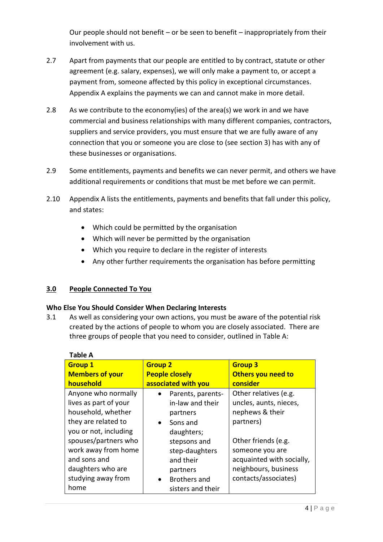Our people should not benefit – or be seen to benefit – inappropriately from their involvement with us.

- 2.7 Apart from payments that our people are entitled to by contract, statute or other agreement (e.g. salary, expenses), we will only make a payment to, or accept a payment from, someone affected by this policy in exceptional circumstances. Appendix A explains the payments we can and cannot make in more detail.
- 2.8 As we contribute to the economy(ies) of the area(s) we work in and we have commercial and business relationships with many different companies, contractors, suppliers and service providers, you must ensure that we are fully aware of any connection that you or someone you are close to (see section 3) has with any of these businesses or organisations.
- 2.9 Some entitlements, payments and benefits we can never permit, and others we have additional requirements or conditions that must be met before we can permit.
- 2.10 Appendix A lists the entitlements, payments and benefits that fall under this policy, and states:
	- Which could be permitted by the organisation
	- Which will never be permitted by the organisation
	- Which you require to declare in the register of interests
	- Any other further requirements the organisation has before permitting

## **3.0 People Connected To You**

## **Who Else You Should Consider When Declaring Interests**

3.1 As well as considering your own actions, you must be aware of the potential risk created by the actions of people to whom you are closely associated. There are three groups of people that you need to consider, outlined in Table A:

| <b>Table A</b>         |                                  |                           |
|------------------------|----------------------------------|---------------------------|
| <b>Group 1</b>         | <b>Group 2</b>                   | <b>Group 3</b>            |
| <b>Members of your</b> | <b>People closely</b>            | <b>Others you need to</b> |
| household              | associated with you              | consider                  |
| Anyone who normally    | Parents, parents-                | Other relatives (e.g.     |
| lives as part of your  | in-law and their                 | uncles, aunts, nieces,    |
| household, whether     | partners                         | nephews & their           |
| they are related to    | Sons and<br>$\bullet$            | partners)                 |
| you or not, including  | daughters;                       |                           |
| spouses/partners who   | stepsons and                     | Other friends (e.g.       |
| work away from home    | step-daughters                   | someone you are           |
| and sons and           | and their                        | acquainted with socially, |
| daughters who are      | partners                         | neighbours, business      |
| studying away from     | <b>Brothers and</b><br>$\bullet$ | contacts/associates)      |
| home                   | sisters and their                |                           |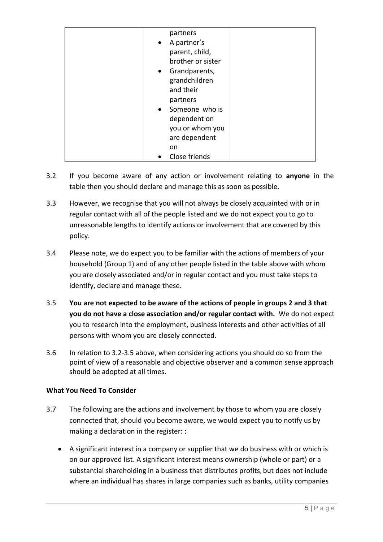| partners          |  |
|-------------------|--|
| • A partner's     |  |
| parent, child,    |  |
| brother or sister |  |
| • Grandparents,   |  |
| grandchildren     |  |
| and their         |  |
| partners          |  |
| • Someone who is  |  |
| dependent on      |  |
| you or whom you   |  |
| are dependent     |  |
|                   |  |
| on                |  |
| Close friends     |  |

- 3.2 If you become aware of any action or involvement relating to **anyone** in the table then you should declare and manage this as soon as possible.
- 3.3 However, we recognise that you will not always be closely acquainted with or in regular contact with all of the people listed and we do not expect you to go to unreasonable lengths to identify actions or involvement that are covered by this policy.
- 3.4 Please note, we do expect you to be familiar with the actions of members of your household (Group 1) and of any other people listed in the table above with whom you are closely associated and/or in regular contact and you must take steps to identify, declare and manage these.
- 3.5 **You are not expected to be aware of the actions of people in groups 2 and 3 that you do not have a close association and/or regular contact with.** We do not expect you to research into the employment, business interests and other activities of all persons with whom you are closely connected.
- 3.6 In relation to 3.2-3.5 above, when considering actions you should do so from the point of view of a reasonable and objective observer and a common sense approach should be adopted at all times.

## **What You Need To Consider**

- 3.7 The following are the actions and involvement by those to whom you are closely connected that, should you become aware, we would expect you to notify us by making a declaration in the register: :
	- A significant interest in a company or supplier that we do business with or which is on our approved list. A significant interest means ownership (whole or part) or a substantial shareholding in a business that distributes profits, but does not include where an individual has shares in large companies such as banks, utility companies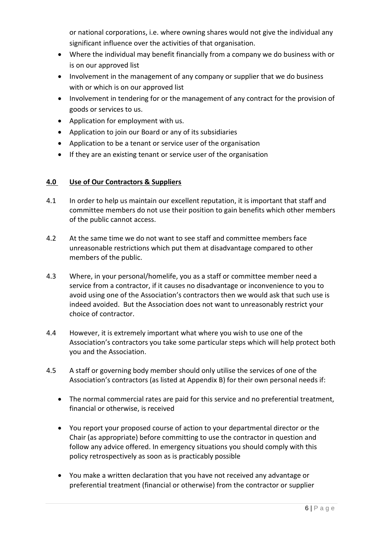or national corporations, i.e. where owning shares would not give the individual any significant influence over the activities of that organisation.

- Where the individual may benefit financially from a company we do business with or is on our approved list
- Involvement in the management of any company or supplier that we do business with or which is on our approved list
- Involvement in tendering for or the management of any contract for the provision of goods or services to us.
- Application for employment with us.
- Application to join our Board or any of its subsidiaries
- Application to be a tenant or service user of the organisation
- If they are an existing tenant or service user of the organisation

# **4.0 Use of Our Contractors & Suppliers**

- 4.1 In order to help us maintain our excellent reputation, it is important that staff and committee members do not use their position to gain benefits which other members of the public cannot access.
- 4.2 At the same time we do not want to see staff and committee members face unreasonable restrictions which put them at disadvantage compared to other members of the public.
- 4.3 Where, in your personal/homelife, you as a staff or committee member need a service from a contractor, if it causes no disadvantage or inconvenience to you to avoid using one of the Association's contractors then we would ask that such use is indeed avoided. But the Association does not want to unreasonably restrict your choice of contractor.
- 4.4 However, it is extremely important what where you wish to use one of the Association's contractors you take some particular steps which will help protect both you and the Association.
- 4.5 A staff or governing body member should only utilise the services of one of the Association's contractors (as listed at Appendix B) for their own personal needs if:
	- The normal commercial rates are paid for this service and no preferential treatment, financial or otherwise, is received
	- You report your proposed course of action to your departmental director or the Chair (as appropriate) before committing to use the contractor in question and follow any advice offered. In emergency situations you should comply with this policy retrospectively as soon as is practicably possible
	- You make a written declaration that you have not received any advantage or preferential treatment (financial or otherwise) from the contractor or supplier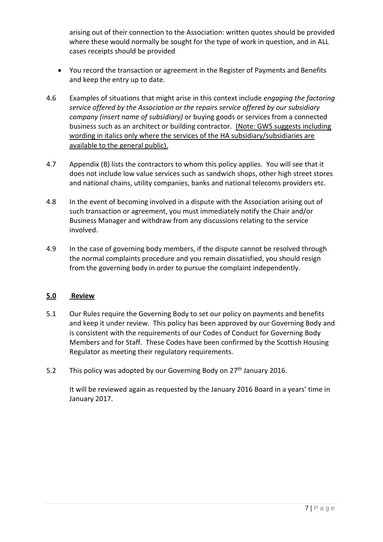arising out of their connection to the Association: written quotes should be provided where these would normally be sought for the type of work in question, and in ALL cases receipts should be provided

- You record the transaction or agreement in the Register of Payments and Benefits and keep the entry up to date.
- 4.6 Examples of situations that might arise in this context include *engaging the factoring service offered by the Association or the repairs service offered by our subsidiary company (insert name of subsidiary)* or buying goods or services from a connected business such as an architect or building contractor. (Note: GWS suggests including wording in italics only where the services of the HA subsidiary/subsidiaries are available to the general public).
- 4.7 Appendix (B) lists the contractors to whom this policy applies. You will see that it does not include low value services such as sandwich shops, other high street stores and national chains, utility companies, banks and national telecoms providers etc.
- 4.8 In the event of becoming involved in a dispute with the Association arising out of such transaction or agreement, you must immediately notify the Chair and/or Business Manager and withdraw from any discussions relating to the service involved.
- 4.9 In the case of governing body members, if the dispute cannot be resolved through the normal complaints procedure and you remain dissatisfied, you should resign from the governing body in order to pursue the complaint independently.

## **5.0 Review**

- 5.1 Our Rules require the Governing Body to set our policy on payments and benefits and keep it under review. This policy has been approved by our Governing Body and is consistent with the requirements of our Codes of Conduct for Governing Body Members and for Staff. These Codes have been confirmed by the Scottish Housing Regulator as meeting their regulatory requirements.
- 5.2 This policy was adopted by our Governing Body on  $27<sup>th</sup>$  January 2016.

It will be reviewed again as requested by the January 2016 Board in a years' time in January 2017.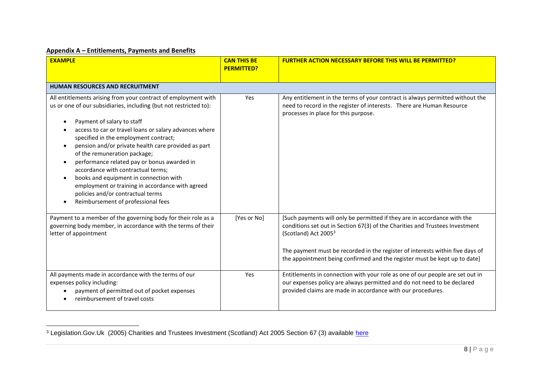#### **Appendix A – Entitlements, Payments and Benefits**

| <b>EXAMPLE</b>                                                                                                                                                                                                                                                                                                                                                                                                                                                                                                                                                                                                            | <b>CAN THIS BE</b><br><b>PERMITTED?</b> | <b>FURTHER ACTION NECESSARY BEFORE THIS WILL BE PERMITTED?</b>                                                                                                                                                                                                                                                                                             |
|---------------------------------------------------------------------------------------------------------------------------------------------------------------------------------------------------------------------------------------------------------------------------------------------------------------------------------------------------------------------------------------------------------------------------------------------------------------------------------------------------------------------------------------------------------------------------------------------------------------------------|-----------------------------------------|------------------------------------------------------------------------------------------------------------------------------------------------------------------------------------------------------------------------------------------------------------------------------------------------------------------------------------------------------------|
| <b>HUMAN RESOURCES AND RECRUITMENT</b>                                                                                                                                                                                                                                                                                                                                                                                                                                                                                                                                                                                    |                                         |                                                                                                                                                                                                                                                                                                                                                            |
| All entitlements arising from your contract of employment with<br>us or one of our subsidiaries, including (but not restricted to):<br>Payment of salary to staff<br>access to car or travel loans or salary advances where<br>specified in the employment contract;<br>pension and/or private health care provided as part<br>of the remuneration package;<br>performance related pay or bonus awarded in<br>accordance with contractual terms;<br>books and equipment in connection with<br>employment or training in accordance with agreed<br>policies and/or contractual terms<br>Reimbursement of professional fees | Yes                                     | Any entitlement in the terms of your contract is always permitted without the<br>need to record in the register of interests. There are Human Resource<br>processes in place for this purpose.                                                                                                                                                             |
| Payment to a member of the governing body for their role as a<br>governing body member, in accordance with the terms of their<br>letter of appointment                                                                                                                                                                                                                                                                                                                                                                                                                                                                    | [Yes or No]                             | [Such payments will only be permitted if they are in accordance with the<br>conditions set out in Section 67(3) of the Charities and Trustees Investment<br>(Scotland) Act 2005 <sup>3</sup><br>The payment must be recorded in the register of interests within five days of<br>the appointment being confirmed and the register must be kept up to date] |
| All payments made in accordance with the terms of our<br>expenses policy including:<br>payment of permitted out of pocket expenses<br>reimbursement of travel costs                                                                                                                                                                                                                                                                                                                                                                                                                                                       | Yes                                     | Entitlements in connection with your role as one of our people are set out in<br>our expenses policy are always permitted and do not need to be declared<br>provided claims are made in accordance with our procedures.                                                                                                                                    |

<sup>&</sup>lt;sup>3</sup> Legislation.Gov.Uk (2005) Charities and Trustees Investment (Scotland) Act 2005 Section 67 (3) available [here](http://www.legislation.gov.uk/asp/2005/10/part/1/chapter/9)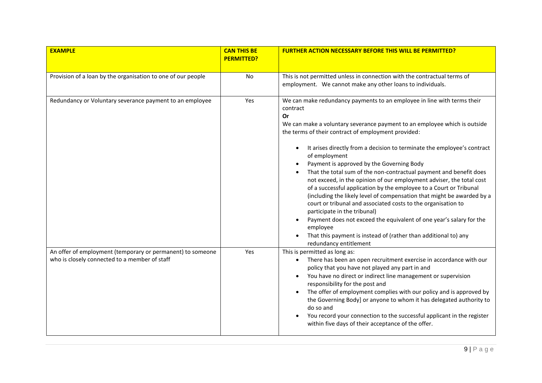| <b>EXAMPLE</b>                                                                                              | <b>CAN THIS BE</b><br><b>PERMITTED?</b> | <b>FURTHER ACTION NECESSARY BEFORE THIS WILL BE PERMITTED?</b>                                                                                                                                                                                                                                                                                                                                                                                                                                                                                                                                                                                                                                                                                                                                                                                                                                                                                        |
|-------------------------------------------------------------------------------------------------------------|-----------------------------------------|-------------------------------------------------------------------------------------------------------------------------------------------------------------------------------------------------------------------------------------------------------------------------------------------------------------------------------------------------------------------------------------------------------------------------------------------------------------------------------------------------------------------------------------------------------------------------------------------------------------------------------------------------------------------------------------------------------------------------------------------------------------------------------------------------------------------------------------------------------------------------------------------------------------------------------------------------------|
| Provision of a loan by the organisation to one of our people                                                | No                                      | This is not permitted unless in connection with the contractual terms of<br>employment. We cannot make any other loans to individuals.                                                                                                                                                                                                                                                                                                                                                                                                                                                                                                                                                                                                                                                                                                                                                                                                                |
| Redundancy or Voluntary severance payment to an employee                                                    | Yes                                     | We can make redundancy payments to an employee in line with terms their<br>contract<br>Or<br>We can make a voluntary severance payment to an employee which is outside<br>the terms of their contract of employment provided:<br>It arises directly from a decision to terminate the employee's contract<br>of employment<br>Payment is approved by the Governing Body<br>That the total sum of the non-contractual payment and benefit does<br>not exceed, in the opinion of our employment adviser, the total cost<br>of a successful application by the employee to a Court or Tribunal<br>(including the likely level of compensation that might be awarded by a<br>court or tribunal and associated costs to the organisation to<br>participate in the tribunal)<br>Payment does not exceed the equivalent of one year's salary for the<br>employee<br>That this payment is instead of (rather than additional to) any<br>redundancy entitlement |
| An offer of employment (temporary or permanent) to someone<br>who is closely connected to a member of staff | Yes                                     | This is permitted as long as:<br>There has been an open recruitment exercise in accordance with our<br>$\bullet$<br>policy that you have not played any part in and<br>You have no direct or indirect line management or supervision<br>responsibility for the post and<br>The offer of employment complies with our policy and is approved by<br>the Governing Body] or anyone to whom it has delegated authority to<br>do so and<br>You record your connection to the successful applicant in the register<br>within five days of their acceptance of the offer.                                                                                                                                                                                                                                                                                                                                                                                    |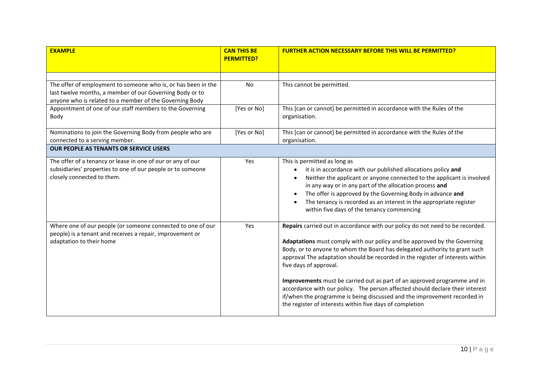| <b>EXAMPLE</b>                                                                                                      | <b>CAN THIS BE</b><br><b>PERMITTED?</b> | <b>FURTHER ACTION NECESSARY BEFORE THIS WILL BE PERMITTED?</b>                                                                |
|---------------------------------------------------------------------------------------------------------------------|-----------------------------------------|-------------------------------------------------------------------------------------------------------------------------------|
|                                                                                                                     |                                         |                                                                                                                               |
|                                                                                                                     |                                         |                                                                                                                               |
| The offer of employment to someone who is, or has been in the                                                       | <b>No</b>                               | This cannot be permitted.                                                                                                     |
| last twelve months, a member of our Governing Body or to                                                            |                                         |                                                                                                                               |
| anyone who is related to a member of the Governing Body<br>Appointment of one of our staff members to the Governing | [Yes or No]                             | This [can or cannot] be permitted in accordance with the Rules of the                                                         |
| Body                                                                                                                |                                         | organisation.                                                                                                                 |
|                                                                                                                     |                                         |                                                                                                                               |
| Nominations to join the Governing Body from people who are                                                          | [Yes or No]                             | This [can or cannot] be permitted in accordance with the Rules of the                                                         |
| connected to a serving member.                                                                                      |                                         | organisation.                                                                                                                 |
| <b>OUR PEOPLE AS TENANTS OR SERVICE USERS</b>                                                                       |                                         |                                                                                                                               |
| The offer of a tenancy or lease in one of our or any of our                                                         | Yes                                     | This is permitted as long as                                                                                                  |
| subsidiaries' properties to one of our people or to someone                                                         |                                         | it is in accordance with our published allocations policy and<br>$\bullet$                                                    |
| closely connected to them.                                                                                          |                                         | Neither the applicant or anyone connected to the applicant is involved                                                        |
|                                                                                                                     |                                         | in any way or in any part of the allocation process and                                                                       |
|                                                                                                                     |                                         | The offer is approved by the Governing Body in advance and<br>$\bullet$                                                       |
|                                                                                                                     |                                         | The tenancy is recorded as an interest in the appropriate register<br>$\bullet$<br>within five days of the tenancy commencing |
|                                                                                                                     |                                         |                                                                                                                               |
| Where one of our people (or someone connected to one of our                                                         | Yes                                     | Repairs carried out in accordance with our policy do not need to be recorded.                                                 |
| people) is a tenant and receives a repair, improvement or                                                           |                                         |                                                                                                                               |
| adaptation to their home                                                                                            |                                         | Adaptations must comply with our policy and be approved by the Governing                                                      |
|                                                                                                                     |                                         | Body, or to anyone to whom the Board has delegated authority to grant such                                                    |
|                                                                                                                     |                                         | approval The adaptation should be recorded in the register of interests within<br>five days of approval.                      |
|                                                                                                                     |                                         |                                                                                                                               |
|                                                                                                                     |                                         | Improvements must be carried out as part of an approved programme and in                                                      |
|                                                                                                                     |                                         | accordance with our policy. The person affected should declare their interest                                                 |
|                                                                                                                     |                                         | if/when the programme is being discussed and the improvement recorded in                                                      |
|                                                                                                                     |                                         | the register of interests within five days of completion                                                                      |
|                                                                                                                     |                                         |                                                                                                                               |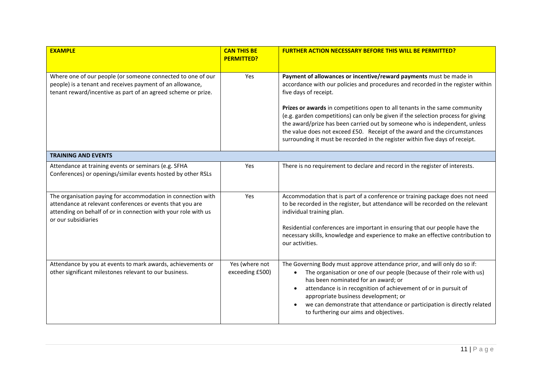| <b>EXAMPLE</b>                                                                                                                                                                                                     | <b>CAN THIS BE</b><br><b>PERMITTED?</b> | <b>FURTHER ACTION NECESSARY BEFORE THIS WILL BE PERMITTED?</b>                                                                                                                                                                                                                                                                                                                                                                                                                                                                                                                              |
|--------------------------------------------------------------------------------------------------------------------------------------------------------------------------------------------------------------------|-----------------------------------------|---------------------------------------------------------------------------------------------------------------------------------------------------------------------------------------------------------------------------------------------------------------------------------------------------------------------------------------------------------------------------------------------------------------------------------------------------------------------------------------------------------------------------------------------------------------------------------------------|
| Where one of our people (or someone connected to one of our<br>people) is a tenant and receives payment of an allowance,<br>tenant reward/incentive as part of an agreed scheme or prize.                          | Yes                                     | Payment of allowances or incentive/reward payments must be made in<br>accordance with our policies and procedures and recorded in the register within<br>five days of receipt.<br>Prizes or awards in competitions open to all tenants in the same community<br>(e.g. garden competitions) can only be given if the selection process for giving<br>the award/prize has been carried out by someone who is independent, unless<br>the value does not exceed £50. Receipt of the award and the circumstances<br>surrounding it must be recorded in the register within five days of receipt. |
| <b>TRAINING AND EVENTS</b>                                                                                                                                                                                         |                                         |                                                                                                                                                                                                                                                                                                                                                                                                                                                                                                                                                                                             |
| Attendance at training events or seminars (e.g. SFHA<br>Conferences) or openings/similar events hosted by other RSLs                                                                                               | Yes                                     | There is no requirement to declare and record in the register of interests.                                                                                                                                                                                                                                                                                                                                                                                                                                                                                                                 |
| The organisation paying for accommodation in connection with<br>attendance at relevant conferences or events that you are<br>attending on behalf of or in connection with your role with us<br>or our subsidiaries | Yes                                     | Accommodation that is part of a conference or training package does not need<br>to be recorded in the register, but attendance will be recorded on the relevant<br>individual training plan.<br>Residential conferences are important in ensuring that our people have the<br>necessary skills, knowledge and experience to make an effective contribution to<br>our activities.                                                                                                                                                                                                            |
| Attendance by you at events to mark awards, achievements or<br>other significant milestones relevant to our business.                                                                                              | Yes (where not<br>exceeding £500)       | The Governing Body must approve attendance prior, and will only do so if:<br>The organisation or one of our people (because of their role with us)<br>$\bullet$<br>has been nominated for an award; or<br>attendance is in recognition of achievement of or in pursuit of<br>appropriate business development; or<br>we can demonstrate that attendance or participation is directly related<br>to furthering our aims and objectives.                                                                                                                                                      |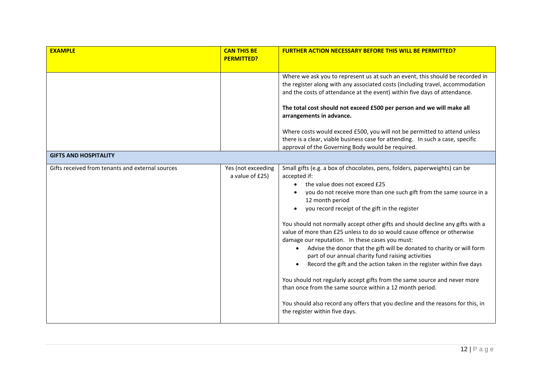| <b>EXAMPLE</b>                                   | <b>CAN THIS BE</b><br><b>PERMITTED?</b> | <b>FURTHER ACTION NECESSARY BEFORE THIS WILL BE PERMITTED?</b>                                                                                                                                                                                                                                                                                                                                                                                                                                                                                                     |
|--------------------------------------------------|-----------------------------------------|--------------------------------------------------------------------------------------------------------------------------------------------------------------------------------------------------------------------------------------------------------------------------------------------------------------------------------------------------------------------------------------------------------------------------------------------------------------------------------------------------------------------------------------------------------------------|
|                                                  |                                         |                                                                                                                                                                                                                                                                                                                                                                                                                                                                                                                                                                    |
|                                                  |                                         | Where we ask you to represent us at such an event, this should be recorded in<br>the register along with any associated costs (including travel, accommodation<br>and the costs of attendance at the event) within five days of attendance.<br>The total cost should not exceed £500 per person and we will make all                                                                                                                                                                                                                                               |
|                                                  |                                         | arrangements in advance.                                                                                                                                                                                                                                                                                                                                                                                                                                                                                                                                           |
|                                                  |                                         | Where costs would exceed £500, you will not be permitted to attend unless<br>there is a clear, viable business case for attending. In such a case, specific<br>approval of the Governing Body would be required.                                                                                                                                                                                                                                                                                                                                                   |
| <b>GIFTS AND HOSPITALITY</b>                     |                                         |                                                                                                                                                                                                                                                                                                                                                                                                                                                                                                                                                                    |
| Gifts received from tenants and external sources | Yes (not exceeding<br>a value of £25)   | Small gifts (e.g. a box of chocolates, pens, folders, paperweights) can be<br>accepted if:<br>the value does not exceed £25<br>you do not receive more than one such gift from the same source in a<br>12 month period<br>you record receipt of the gift in the register<br>You should not normally accept other gifts and should decline any gifts with a<br>value of more than £25 unless to do so would cause offence or otherwise<br>damage our reputation. In these cases you must:<br>Advise the donor that the gift will be donated to charity or will form |
|                                                  |                                         | part of our annual charity fund raising activities<br>Record the gift and the action taken in the register within five days<br>You should not regularly accept gifts from the same source and never more<br>than once from the same source within a 12 month period.<br>You should also record any offers that you decline and the reasons for this, in<br>the register within five days.                                                                                                                                                                          |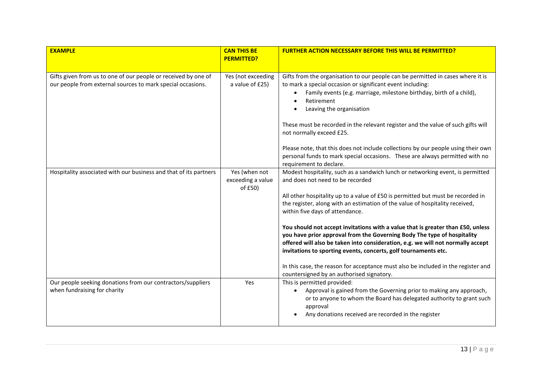| <b>EXAMPLE</b>                                                                                                                | <b>CAN THIS BE</b><br><b>PERMITTED?</b>       | <b>FURTHER ACTION NECESSARY BEFORE THIS WILL BE PERMITTED?</b>                                                                                                                                                                                                                                                                                                                                                                                                                                                                                                                                                                                                                                                                                                                                            |
|-------------------------------------------------------------------------------------------------------------------------------|-----------------------------------------------|-----------------------------------------------------------------------------------------------------------------------------------------------------------------------------------------------------------------------------------------------------------------------------------------------------------------------------------------------------------------------------------------------------------------------------------------------------------------------------------------------------------------------------------------------------------------------------------------------------------------------------------------------------------------------------------------------------------------------------------------------------------------------------------------------------------|
| Gifts given from us to one of our people or received by one of<br>our people from external sources to mark special occasions. | Yes (not exceeding<br>a value of £25)         | Gifts from the organisation to our people can be permitted in cases where it is<br>to mark a special occasion or significant event including:<br>Family events (e.g. marriage, milestone birthday, birth of a child),<br>$\bullet$<br>Retirement<br>Leaving the organisation<br>These must be recorded in the relevant register and the value of such gifts will<br>not normally exceed £25.<br>Please note, that this does not include collections by our people using their own<br>personal funds to mark special occasions. These are always permitted with no                                                                                                                                                                                                                                         |
| Hospitality associated with our business and that of its partners                                                             | Yes (when not<br>exceeding a value<br>of £50) | requirement to declare.<br>Modest hospitality, such as a sandwich lunch or networking event, is permitted<br>and does not need to be recorded<br>All other hospitality up to a value of £50 is permitted but must be recorded in<br>the register, along with an estimation of the value of hospitality received,<br>within five days of attendance.<br>You should not accept invitations with a value that is greater than £50, unless<br>you have prior approval from the Governing Body The type of hospitality<br>offered will also be taken into consideration, e.g. we will not normally accept<br>invitations to sporting events, concerts, golf tournaments etc.<br>In this case, the reason for acceptance must also be included in the register and<br>countersigned by an authorised signatory. |
| Our people seeking donations from our contractors/suppliers<br>when fundraising for charity                                   | Yes                                           | This is permitted provided:<br>Approval is gained from the Governing prior to making any approach,<br>$\bullet$<br>or to anyone to whom the Board has delegated authority to grant such<br>approval<br>Any donations received are recorded in the register                                                                                                                                                                                                                                                                                                                                                                                                                                                                                                                                                |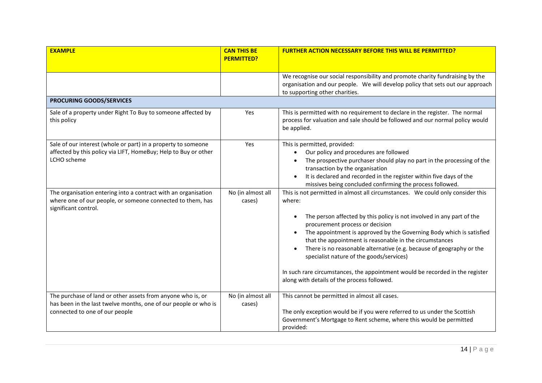| <b>EXAMPLE</b>                                                                                                                                                   | <b>CAN THIS BE</b><br><b>PERMITTED?</b> | <b>FURTHER ACTION NECESSARY BEFORE THIS WILL BE PERMITTED?</b>                                                                                                                                                                                                                                                                                                                                                                                                                                                                                                                                           |
|------------------------------------------------------------------------------------------------------------------------------------------------------------------|-----------------------------------------|----------------------------------------------------------------------------------------------------------------------------------------------------------------------------------------------------------------------------------------------------------------------------------------------------------------------------------------------------------------------------------------------------------------------------------------------------------------------------------------------------------------------------------------------------------------------------------------------------------|
|                                                                                                                                                                  |                                         | We recognise our social responsibility and promote charity fundraising by the<br>organisation and our people. We will develop policy that sets out our approach<br>to supporting other charities.                                                                                                                                                                                                                                                                                                                                                                                                        |
| PROCURING GOODS/SERVICES                                                                                                                                         |                                         |                                                                                                                                                                                                                                                                                                                                                                                                                                                                                                                                                                                                          |
| Sale of a property under Right To Buy to someone affected by<br>this policy                                                                                      | Yes                                     | This is permitted with no requirement to declare in the register. The normal<br>process for valuation and sale should be followed and our normal policy would<br>be applied.                                                                                                                                                                                                                                                                                                                                                                                                                             |
| Sale of our interest (whole or part) in a property to someone<br>affected by this policy via LIFT, HomeBuy; Help to Buy or other<br>LCHO scheme                  | Yes                                     | This is permitted, provided:<br>Our policy and procedures are followed<br>$\bullet$<br>The prospective purchaser should play no part in the processing of the<br>transaction by the organisation<br>It is declared and recorded in the register within five days of the<br>$\bullet$<br>missives being concluded confirming the process followed.                                                                                                                                                                                                                                                        |
| The organisation entering into a contract with an organisation<br>where one of our people, or someone connected to them, has<br>significant control.             | No (in almost all<br>cases)             | This is not permitted in almost all circumstances. We could only consider this<br>where:<br>The person affected by this policy is not involved in any part of the<br>$\bullet$<br>procurement process or decision<br>The appointment is approved by the Governing Body which is satisfied<br>that the appointment is reasonable in the circumstances<br>There is no reasonable alternative (e.g. because of geography or the<br>specialist nature of the goods/services)<br>In such rare circumstances, the appointment would be recorded in the register<br>along with details of the process followed. |
| The purchase of land or other assets from anyone who is, or<br>has been in the last twelve months, one of our people or who is<br>connected to one of our people | No (in almost all<br>cases)             | This cannot be permitted in almost all cases.<br>The only exception would be if you were referred to us under the Scottish<br>Government's Mortgage to Rent scheme, where this would be permitted<br>provided:                                                                                                                                                                                                                                                                                                                                                                                           |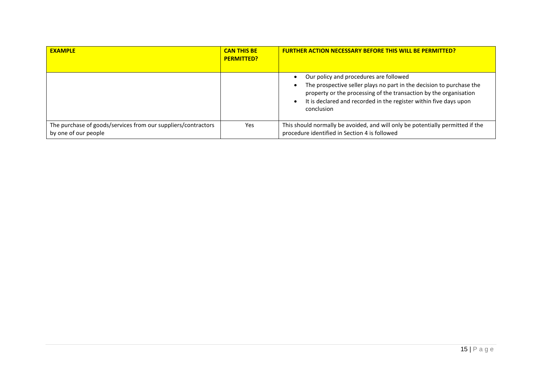| <b>EXAMPLE</b>                                                                        | <b>CAN THIS BE</b><br><b>PERMITTED?</b> | <b>FURTHER ACTION NECESSARY BEFORE THIS WILL BE PERMITTED?</b>                                                                                                                                                                                                         |
|---------------------------------------------------------------------------------------|-----------------------------------------|------------------------------------------------------------------------------------------------------------------------------------------------------------------------------------------------------------------------------------------------------------------------|
|                                                                                       |                                         | Our policy and procedures are followed<br>The prospective seller plays no part in the decision to purchase the<br>property or the processing of the transaction by the organisation<br>It is declared and recorded in the register within five days upon<br>conclusion |
| The purchase of goods/services from our suppliers/contractors<br>by one of our people | <b>Yes</b>                              | This should normally be avoided, and will only be potentially permitted if the<br>procedure identified in Section 4 is followed                                                                                                                                        |